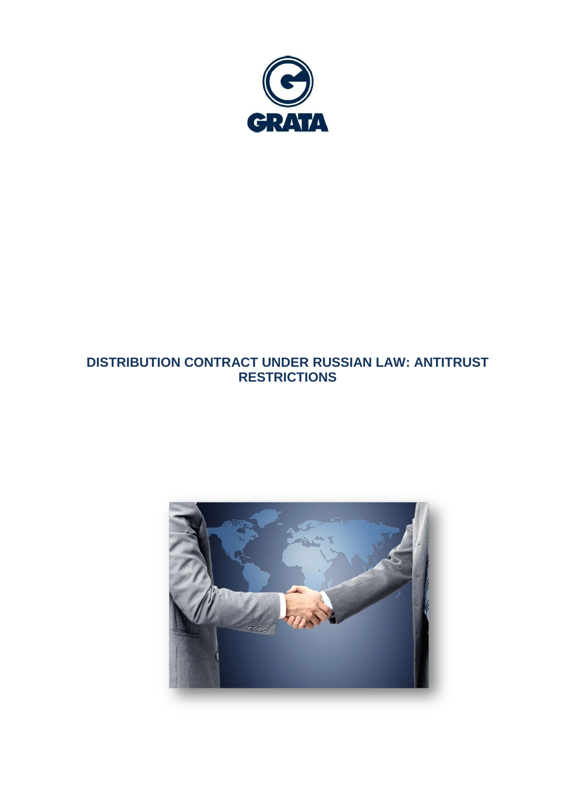

# **DISTRIBUTION CONTRACT UNDER RUSSIAN LAW: ANTITRUST RESTRICTIONS**

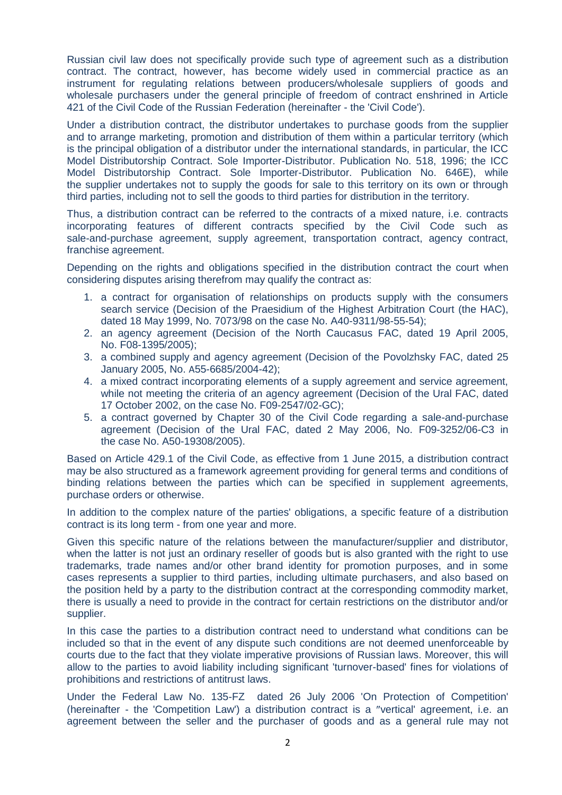Russian civil law does not specifically provide such type of agreement such as a distribution contract. The contract, however, has become widely used in commercial practice as an instrument for regulating relations between producers/wholesale suppliers of goods and wholesale purchasers under the general principle of freedom of contract enshrined in Article 421 of the Civil Code of the Russian Federation (hereinafter - the 'Civil Code').

Under a distribution contract, the distributor undertakes to purchase goods from the supplier and to arrange marketing, promotion and distribution of them within a particular territory (which is the principal obligation of a distributor under the international standards, in particular, the ICC Model Distributorship Contract. Sole Importer-Distributor. Publication No. 518, 1996; the ICC Model Distributorship Contract. Sole Importer-Distributor. Publication No. 646E), while the supplier undertakes not to supply the goods for sale to this territory on its own or through third parties, including not to sell the goods to third parties for distribution in the territory.

Thus, a distribution contract can be referred to the contracts of a mixed nature, i.e. contracts incorporating features of different contracts specified by the Civil Code such as sale-and-purchase agreement, supply agreement, transportation contract, agency contract, franchise agreement.

Depending on the rights and obligations specified in the distribution contract the court when considering disputes arising therefrom may qualify the contract as:

- 1. a contract for organisation of relationships on products supply with the consumers search service (Decision of the Praesidium of the Highest Arbitration Court (the HAC), dated 18 May 1999, No. 7073/98 on the case No. A40-9311/98-55-54);
- 2. an agency agreement (Decision of the North Caucasus FAC, dated 19 April 2005, No. F08-1395/2005);
- 3. a combined supply and agency agreement (Decision of the Povolzhsky FAC, dated 25 January 2005, No. А55-6685/2004-42);
- 4. a mixed contract incorporating elements of a supply agreement and service agreement, while not meeting the criteria of an agency agreement (Decision of the Ural FAC, dated 17 October 2002, on the case No. F09-2547/02-GC);
- 5. a contract governed by Chapter 30 of the Civil Code regarding a sale-and-purchase agreement (Decision of the Ural FAC, dated 2 May 2006, No. F09-3252/06-C3 in the case No. A50-19308/2005).

Based on Article 429.1 of the Civil Code, as effective from 1 June 2015, a distribution contract may be also structured as a framework agreement providing for general terms and conditions of binding relations between the parties which can be specified in supplement agreements, purchase orders or otherwise.

In addition to the complex nature of the parties' obligations, a specific feature of a distribution contract is its long term - from one year and more.

Given this specific nature of the relations between the manufacturer/supplier and distributor, when the latter is not just an ordinary reseller of goods but is also granted with the right to use trademarks, trade names and/or other brand identity for promotion purposes, and in some cases represents a supplier to third parties, including ultimate purchasers, and also based on the position held by a party to the distribution contract at the corresponding commodity market, there is usually a need to provide in the contract for certain restrictions on the distributor and/or supplier.

In this case the parties to a distribution contract need to understand what conditions can be included so that in the event of any dispute such conditions are not deemed unenforceable by courts due to the fact that they violate imperative provisions of Russian laws. Moreover, this will allow to the parties to avoid liability including significant 'turnover-based' fines for violations of prohibitions and restrictions of antitrust laws.

Under the Federal Law No. 135-FZ dated 26 July 2006 'On Protection of Competition' (hereinafter - the 'Competition Law') a distribution contract is a "vertical' agreement, i.e. an agreement between the seller and the purchaser of goods and as a general rule may not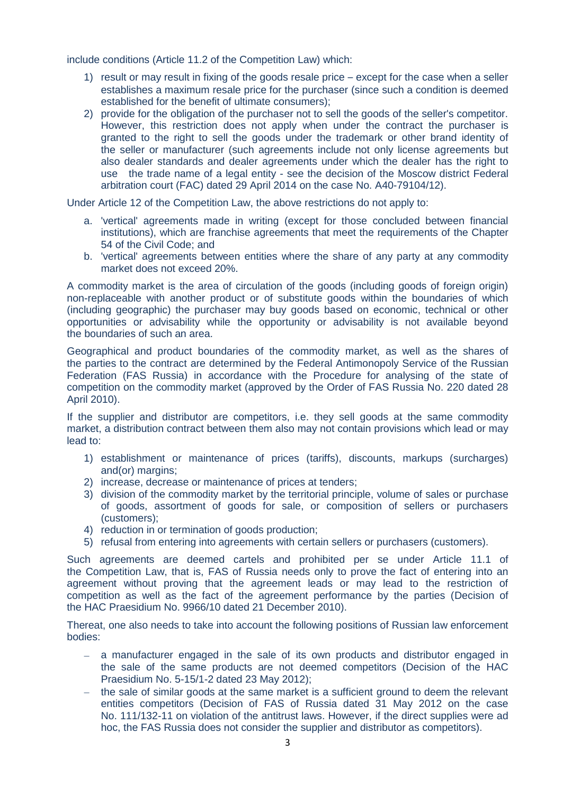include conditions (Article 11.2 of the Competition Law) which:

- 1) result or may result in fixing of the goods resale price except for the case when a seller establishes a maximum resale price for the purchaser (since such a condition is deemed established for the benefit of ultimate consumers);
- 2) provide for the obligation of the purchaser not to sell the goods of the seller's competitor. However, this restriction does not apply when under the contract the purchaser is granted to the right to sell the goods under the trademark or other brand identity of the seller or manufacturer (such agreements include not only license agreements but also dealer standards and dealer agreements under which the dealer has the right to use the trade name of a legal entity - see the decision of the Moscow district Federal arbitration court (FAC) dated 29 April 2014 on the case No. A40-79104/12).

Under Article 12 of the Competition Law, the above restrictions do not apply to:

- a. 'vertical' agreements made in writing (except for those concluded between financial institutions), which are franchise agreements that meet the requirements of the Chapter 54 of the Civil Code; and
- b. 'vertical' agreements between entities where the share of any party at any commodity market does not exceed 20%.

A commodity market is the area of circulation of the goods (including goods of foreign origin) non-replaceable with another product or of substitute goods within the boundaries of which (including geographic) the purchaser may buy goods based on economic, technical or other opportunities or advisability while the opportunity or advisability is not available beyond the boundaries of such an area.

Geographical and product boundaries of the commodity market, as well as the shares of the parties to the contract are determined by the Federal Antimonopoly Service of the Russian Federation (FAS Russia) in accordance with the Procedure for analysing of the state of competition on the commodity market (approved by the Order of FAS Russia No. 220 dated 28 April 2010).

If the supplier and distributor are competitors, i.e. they sell goods at the same commodity market, a distribution contract between them also may not contain provisions which lead or may lead to:

- 1) establishment or maintenance of prices (tariffs), discounts, markups (surcharges) and(or) margins;
- 2) increase, decrease or maintenance of prices at tenders;
- 3) division of the commodity market by the territorial principle, volume of sales or purchase of goods, assortment of goods for sale, or composition of sellers or purchasers (customers);
- 4) reduction in or termination of goods production;
- 5) refusal from entering into agreements with certain sellers or purchasers (customers).

Such agreements are deemed cartels and prohibited per se under Article 11.1 of the Competition Law, that is, FAS of Russia needs only to prove the fact of entering into an agreement without proving that the agreement leads or may lead to the restriction of competition as well as the fact of the agreement performance by the parties (Decision of the HAC Praesidium No. 9966/10 dated 21 December 2010).

Thereat, one also needs to take into account the following positions of Russian law enforcement bodies:

- a manufacturer engaged in the sale of its own products and distributor engaged in the sale of the same products are not deemed competitors (Decision of the HAC Praesidium No. 5-15/1-2 dated 23 May 2012);
- $-$  the sale of similar goods at the same market is a sufficient ground to deem the relevant entities competitors (Decision of FAS of Russia dated 31 May 2012 on the case No. 111/132-11 on violation of the antitrust laws. However, if the direct supplies were ad hoc, the FAS Russia does not consider the supplier and distributor as competitors).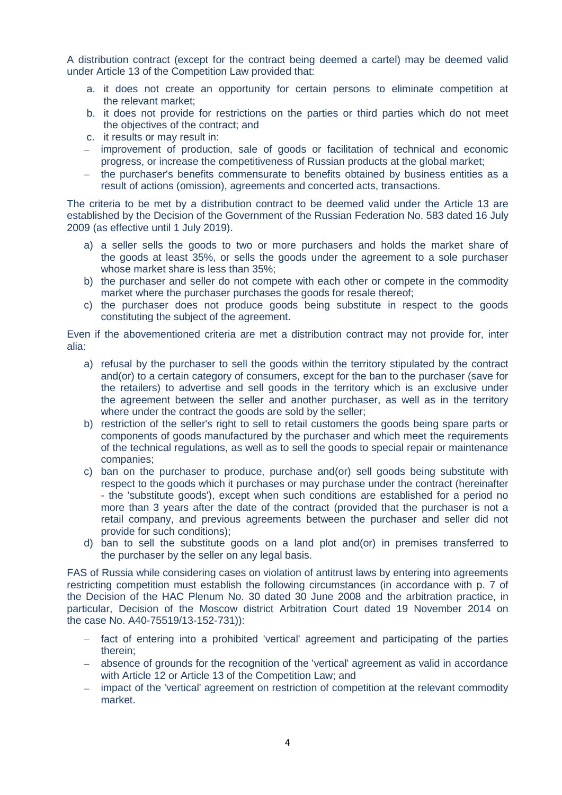A distribution contract (except for the contract being deemed a cartel) may be deemed valid under Article 13 of the Competition Law provided that:

- a. it does not create an opportunity for certain persons to eliminate competition at the relevant market;
- b. it does not provide for restrictions on the parties or third parties which do not meet the objectives of the contract; and
- c. it results or may result in:
- improvement of production, sale of goods or facilitation of technical and economic progress, or increase the competitiveness of Russian products at the global market;
- the purchaser's benefits commensurate to benefits obtained by business entities as a result of actions (omission), agreements and concerted acts, transactions.

The criteria to be met by a distribution contract to be deemed valid under the Article 13 are established by the Decision of the Government of the Russian Federation No. 583 dated 16 July 2009 (as effective until 1 July 2019).

- a) a seller sells the goods to two or more purchasers and holds the market share of the goods at least 35%, or sells the goods under the agreement to a sole purchaser whose market share is less than 35%;
- b) the purchaser and seller do not compete with each other or compete in the commodity market where the purchaser purchases the goods for resale thereof;
- c) the purchaser does not produce goods being substitute in respect to the goods constituting the subject of the agreement.

Even if the abovementioned criteria are met a distribution contract may not provide for, inter alia:

- a) refusal by the purchaser to sell the goods within the territory stipulated by the contract and(or) to a certain category of consumers, except for the ban to the purchaser (save for the retailers) to advertise and sell goods in the territory which is an exclusive under the agreement between the seller and another purchaser, as well as in the territory where under the contract the goods are sold by the seller;
- b) restriction of the seller's right to sell to retail customers the goods being spare parts or components of goods manufactured by the purchaser and which meet the requirements of the technical regulations, as well as to sell the goods to special repair or maintenance companies;
- c) ban on the purchaser to produce, purchase and(or) sell goods being substitute with respect to the goods which it purchases or may purchase under the contract (hereinafter - the 'substitute goods'), except when such conditions are established for a period no more than 3 years after the date of the contract (provided that the purchaser is not a retail company, and previous agreements between the purchaser and seller did not provide for such conditions);
- d) ban to sell the substitute goods on a land plot and(or) in premises transferred to the purchaser by the seller on any legal basis.

FAS of Russia while considering cases on violation of antitrust laws by entering into agreements restricting competition must establish the following circumstances (in accordance with p. 7 of the Decision of the HAC Plenum No. 30 dated 30 June 2008 and the arbitration practice, in particular, Decision of the Moscow district Arbitration Court dated 19 November 2014 on the case No. A40-75519/13-152-731)):

- fact of entering into a prohibited 'vertical' agreement and participating of the parties therein;
- absence of grounds for the recognition of the 'vertical' agreement as valid in accordance with Article 12 or Article 13 of the Competition Law; and
- impact of the 'vertical' agreement on restriction of competition at the relevant commodity  $\equiv$  . market.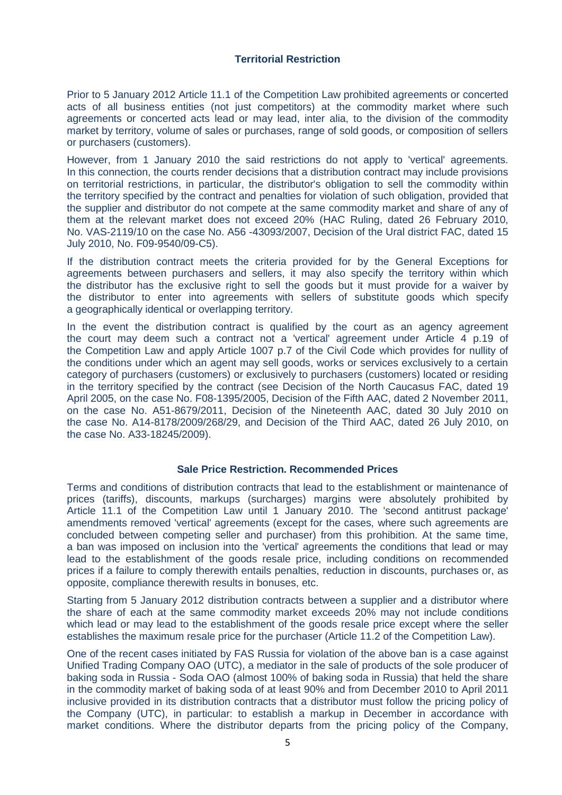# **Territorial Restriction**

Prior to 5 January 2012 Article 11.1 of the Competition Law prohibited agreements or concerted acts of all business entities (not just competitors) at the commodity market where such agreements or concerted acts lead or may lead, inter alia, to the division of the commodity market by territory, volume of sales or purchases, range of sold goods, or composition of sellers or purchasers (customers).

However, from 1 January 2010 the said restrictions do not apply to 'vertical' agreements. In this connection, the courts render decisions that a distribution contract may include provisions on territorial restrictions, in particular, the distributor's obligation to sell the commodity within the territory specified by the contract and penalties for violation of such obligation, provided that the supplier and distributor do not compete at the same commodity market and share of any of them at the relevant market does not exceed 20% (HAC Ruling, dated 26 February 2010, No. VAS-2119/10 on the case No. A56 -43093/2007, Decision of the Ural district FAC, dated 15 July 2010, No. F09-9540/09-C5).

If the distribution contract meets the criteria provided for by the General Exceptions for agreements between purchasers and sellers, it may also specify the territory within which the distributor has the exclusive right to sell the goods but it must provide for a waiver by the distributor to enter into agreements with sellers of substitute goods which specify a geographically identical or overlapping territory.

In the event the distribution contract is qualified by the court as an agency agreement the court may deem such a contract not a 'vertical' agreement under Article 4 p.19 of the Competition Law and apply Article 1007 p.7 of the Civil Code which provides for nullity of the conditions under which an agent may sell goods, works or services exclusively to a certain category of purchasers (customers) or exclusively to purchasers (customers) located or residing in the territory specified by the contract (see Decision of the North Caucasus FAC, dated 19 April 2005, on the case No. F08-1395/2005, Decision of the Fifth AAC, dated 2 November 2011, on the case No. A51-8679/2011, Decision of the Nineteenth AAC, dated 30 July 2010 on the case No. A14-8178/2009/268/29, and Decision of the Third AAC, dated 26 July 2010, on the case No. A33-18245/2009).

#### **Sale Price Restriction. Recommended Prices**

Terms and conditions of distribution contracts that lead to the establishment or maintenance of prices (tariffs), discounts, markups (surcharges) margins were absolutely prohibited by Article 11.1 of the Competition Law until 1 January 2010. The 'second antitrust package' amendments removed 'vertical' agreements (except for the cases, where such agreements are concluded between competing seller and purchaser) from this prohibition. At the same time, a ban was imposed on inclusion into the 'vertical' agreements the conditions that lead or may lead to the establishment of the goods resale price, including conditions on recommended prices if a failure to comply therewith entails penalties, reduction in discounts, purchases or, as opposite, compliance therewith results in bonuses, etc.

Starting from 5 January 2012 distribution contracts between a supplier and a distributor where the share of each at the same commodity market exceeds 20% may not include conditions which lead or may lead to the establishment of the goods resale price except where the seller establishes the maximum resale price for the purchaser (Article 11.2 of the Competition Law).

One of the recent cases initiated by FAS Russia for violation of the above ban is a case against Unified Trading Company OAO (UTC), a mediator in the sale of products of the sole producer of baking soda in Russia - Soda OAO (almost 100% of baking soda in Russia) that held the share in the commodity market of baking soda of at least 90% and from December 2010 to April 2011 inclusive provided in its distribution contracts that a distributor must follow the pricing policy of the Company (UTC), in particular: to establish a markup in December in accordance with market conditions. Where the distributor departs from the pricing policy of the Company,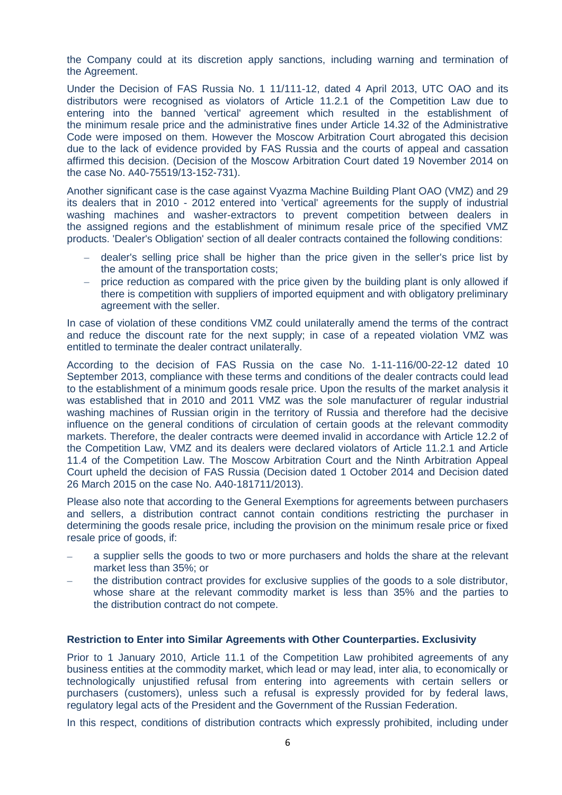the Company could at its discretion apply sanctions, including warning and termination of the Agreement.

Under the Decision of FAS Russia No. 1 11/111-12, dated 4 April 2013, UTC OAO and its distributors were recognised as violators of Article 11.2.1 of the Competition Law due to entering into the banned 'vertical' agreement which resulted in the establishment of the minimum resale price and the administrative fines under Article 14.32 of the Administrative Code were imposed on them. However the Moscow Arbitration Court abrogated this decision due to the lack of evidence provided by FAS Russia and the courts of appeal and cassation affirmed this decision. (Decision of the Moscow Arbitration Court dated 19 November 2014 on the case No. А40-75519/13-152-731).

Another significant case is the case against Vyazma Machine Building Plant OAO (VMZ) and 29 its dealers that in 2010 - 2012 entered into 'vertical' agreements for the supply of industrial washing machines and washer-extractors to prevent competition between dealers in the assigned regions and the establishment of minimum resale price of the specified VMZ products. 'Dealer's Obligation' section of all dealer contracts contained the following conditions:

- dealer's selling price shall be higher than the price given in the seller's price list by the amount of the transportation costs;
- $-$  price reduction as compared with the price given by the building plant is only allowed if there is competition with suppliers of imported equipment and with obligatory preliminary agreement with the seller.

In case of violation of these conditions VMZ could unilaterally amend the terms of the contract and reduce the discount rate for the next supply; in case of a repeated violation VMZ was entitled to terminate the dealer contract unilaterally.

According to the decision of FAS Russia on the case No. 1-11-116/00-22-12 dated 10 September 2013, compliance with these terms and conditions of the dealer contracts could lead to the establishment of a minimum goods resale price. Upon the results of the market analysis it was established that in 2010 and 2011 VMZ was the sole manufacturer of regular industrial washing machines of Russian origin in the territory of Russia and therefore had the decisive influence on the general conditions of circulation of certain goods at the relevant commodity markets. Therefore, the dealer contracts were deemed invalid in accordance with Article 12.2 of the Competition Law, VMZ and its dealers were declared violators of Article 11.2.1 and Article 11.4 of the Competition Law. The Moscow Arbitration Court and the Ninth Arbitration Appeal Court upheld the decision of FAS Russia (Decision dated 1 October 2014 and Decision dated 26 March 2015 on the case No. A40-181711/2013).

Please also note that according to the General Exemptions for agreements between purchasers and sellers, a distribution contract cannot contain conditions restricting the purchaser in determining the goods resale price, including the provision on the minimum resale price or fixed resale price of goods, if:

- a supplier sells the goods to two or more purchasers and holds the share at the relevant market less than 35%; or
- the distribution contract provides for exclusive supplies of the goods to a sole distributor, whose share at the relevant commodity market is less than 35% and the parties to the distribution contract do not compete.

#### **Restriction to Enter into Similar Agreements with Other Counterparties. Exclusivity**

Prior to 1 January 2010, Article 11.1 of the Competition Law prohibited agreements of any business entities at the commodity market, which lead or may lead, inter alia, to economically or technologically unjustified refusal from entering into agreements with certain sellers or purchasers (customers), unless such a refusal is expressly provided for by federal laws, regulatory legal acts of the President and the Government of the Russian Federation.

In this respect, conditions of distribution contracts which expressly prohibited, including under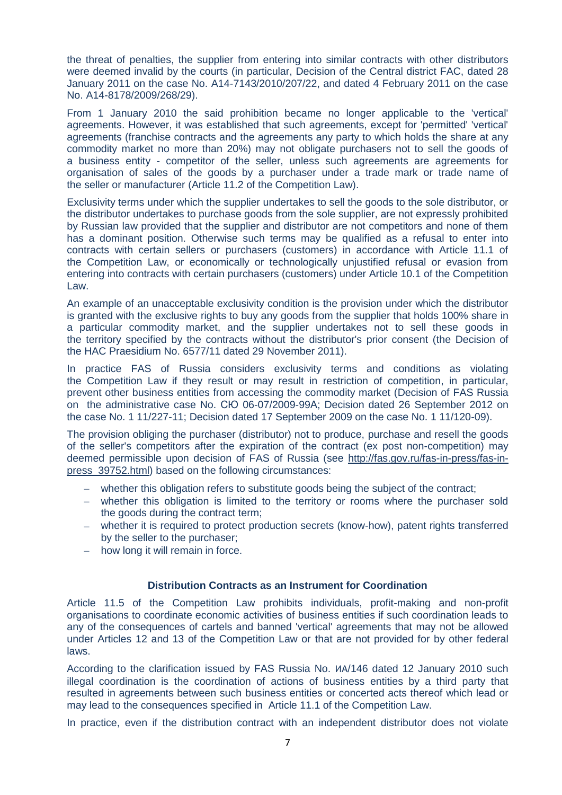the threat of penalties, the supplier from entering into similar contracts with other distributors were deemed invalid by the courts (in particular, Decision of the Central district FAC, dated 28 January 2011 on the case No. A14-7143/2010/207/22, and dated 4 February 2011 on the case No. A14-8178/2009/268/29).

From 1 January 2010 the said prohibition became no longer applicable to the 'vertical' agreements. However, it was established that such agreements, except for 'permitted' 'vertical' agreements (franchise contracts and the agreements any party to which holds the share at any commodity market no more than 20%) may not obligate purchasers not to sell the goods of a business entity - competitor of the seller, unless such agreements are agreements for organisation of sales of the goods by a purchaser under a trade mark or trade name of the seller or manufacturer (Article 11.2 of the Competition Law).

Exclusivity terms under which the supplier undertakes to sell the goods to the sole distributor, or the distributor undertakes to purchase goods from the sole supplier, are not expressly prohibited by Russian law provided that the supplier and distributor are not competitors and none of them has a dominant position. Otherwise such terms may be qualified as a refusal to enter into contracts with certain sellers or purchasers (customers) in accordance with Article 11.1 of the Competition Law, or economically or technologically unjustified refusal or evasion from entering into contracts with certain purchasers (customers) under Article 10.1 of the Competition Law.

An example of an unacceptable exclusivity condition is the provision under which the distributor is granted with the exclusive rights to buy any goods from the supplier that holds 100% share in a particular commodity market, and the supplier undertakes not to sell these goods in the territory specified by the contracts without the distributor's prior consent (the Decision of the HAC Praesidium No. 6577/11 dated 29 November 2011).

In practice FAS of Russia considers exclusivity terms and conditions as violating the Competition Law if they result or may result in restriction of competition, in particular, prevent other business entities from accessing the commodity market (Decision of FAS Russia on the administrative case No. СЮ 06-07/2009-99А; Decision dated 26 September 2012 on the case No. 1 11/227-11; Decision dated 17 September 2009 on the case No. 1 11/120-09).

The provision obliging the purchaser (distributor) not to produce, purchase and resell the goods of the seller's competitors after the expiration of the contract (ex post non-competition) may deemed permissible upon decision of FAS of Russia (see [http://fas.gov.ru/fas-in-press/fas-in](http://fas.gov.ru/fas-in-press/fas-in-press_39752.html)[press\\_39752.html\)](http://fas.gov.ru/fas-in-press/fas-in-press_39752.html) based on the following circumstances:

- whether this obligation refers to substitute goods being the subject of the contract;
- whether this obligation is limited to the territory or rooms where the purchaser sold the goods during the contract term;
- whether it is required to protect production secrets (know-how), patent rights transferred by the seller to the purchaser;
- $-$  how long it will remain in force.

#### **Distribution Contracts as an Instrument for Coordination**

Article 11.5 of the Competition Law prohibits individuals, profit-making and non-profit organisations to coordinate economic activities of business entities if such coordination leads to any of the consequences of cartels and banned 'vertical' agreements that may not be allowed under Articles 12 and 13 of the Competition Law or that are not provided for by other federal laws.

According to the clarification issued by FAS Russia No. ИА/146 dated 12 January 2010 such illegal coordination is the coordination of actions of business entities by a third party that resulted in agreements between such business entities or concerted acts thereof which lead or may lead to the consequences specified in Article 11.1 of the Competition Law.

In practice, even if the distribution contract with an independent distributor does not violate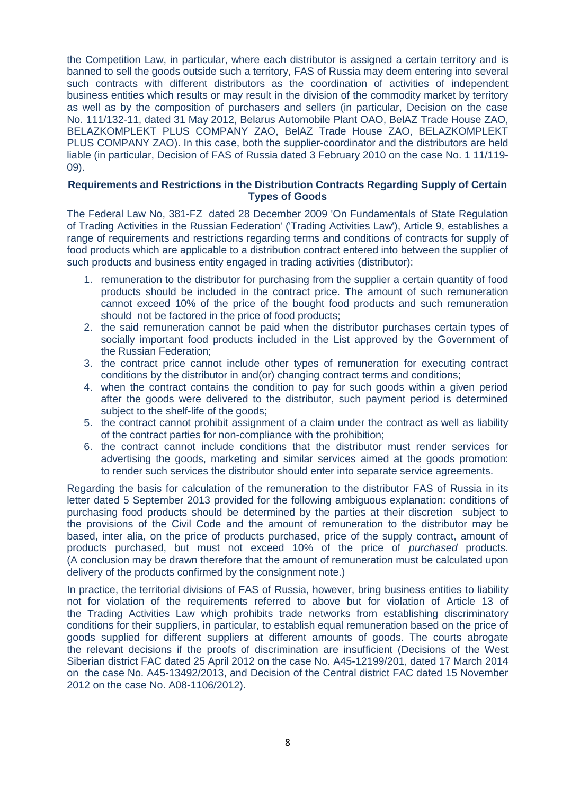the Competition Law, in particular, where each distributor is assigned a certain territory and is banned to sell the goods outside such a territory, FAS of Russia may deem entering into several such contracts with different distributors as the coordination of activities of independent business entities which results or may result in the division of the commodity market by territory as well as by the composition of purchasers and sellers (in particular, Decision on the case No. 111/132-11, dated 31 May 2012, Belarus Automobile Plant OAO, BelAZ Trade House ZAO, BELAZKOMPLEKT PLUS COMPANY ZAO, BelAZ Trade House ZAO, BELAZKOMPLEKT PLUS COMPANY ZAO). In this case, both the supplier-coordinator and the distributors are held liable (in particular, Decision of FAS of Russia dated 3 February 2010 on the case No. 1 11/119- 09).

## **Requirements and Restrictions in the Distribution Contracts Regarding Supply of Certain Types of Goods**

The Federal Law No, 381-FZ dated 28 December 2009 'On Fundamentals of State Regulation of Trading Activities in the Russian Federation' ('Trading Activities Law'), Article 9, establishes a range of requirements and restrictions regarding terms and conditions of contracts for supply of food products which are applicable to a distribution contract entered into between the supplier of such products and business entity engaged in trading activities (distributor):

- 1. remuneration to the distributor for purchasing from the supplier a certain quantity of food products should be included in the contract price. The amount of such remuneration cannot exceed 10% of the price of the bought food products and such remuneration should not be factored in the price of food products;
- 2. the said remuneration cannot be paid when the distributor purchases certain types of socially important food products included in the List approved by the Government of the Russian Federation;
- 3. the contract price cannot include other types of remuneration for executing contract conditions by the distributor in and(or) changing contract terms and conditions;
- 4. when the contract contains the condition to pay for such goods within a given period after the goods were delivered to the distributor, such payment period is determined subject to the shelf-life of the goods:
- 5. the contract cannot prohibit assignment of a claim under the contract as well as liability of the contract parties for non-compliance with the prohibition;
- 6. the contract cannot include conditions that the distributor must render services for advertising the goods, marketing and similar services aimed at the goods promotion: to render such services the distributor should enter into separate service agreements.

Regarding the basis for calculation of the remuneration to the distributor FAS of Russia in its letter dated 5 September 2013 provided for the following ambiguous explanation: conditions of purchasing food products should be determined by the parties at their discretion subject to the provisions of the Civil Code and the amount of remuneration to the distributor may be based, inter alia, on the price of products purchased, price of the supply contract, amount of products purchased, but must not exceed 10% of the price of *purchased* products. (A conclusion may be drawn therefore that the amount of remuneration must be calculated upon delivery of the products confirmed by the consignment note.)

In practice, the territorial divisions of FAS of Russia, however, bring business entities to liability not for violation of the requirements referred to above but for violation of Article 13 of the Trading Activities Law which prohibits trade networks from establishing discriminatory conditions for their suppliers, in particular, to establish equal remuneration based on the price of goods supplied for different suppliers at different amounts of goods. The courts abrogate the relevant decisions if the proofs of discrimination are insufficient (Decisions of the West Siberian district FAC dated 25 April 2012 on the case No. A45-12199/201, dated 17 March 2014 on the case No. A45-13492/2013, and Decision of the Central district FAC dated 15 November 2012 on the case No. A08-1106/2012).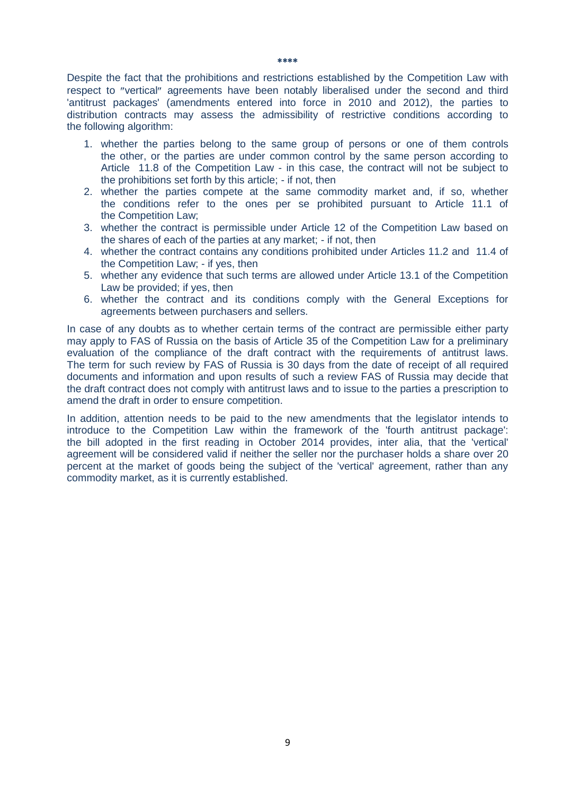Despite the fact that the prohibitions and restrictions established by the Competition Law with respect to "vertical" agreements have been notably liberalised under the second and third 'antitrust packages' (amendments entered into force in 2010 and 2012), the parties to distribution contracts may assess the admissibility of restrictive conditions according to the following algorithm:

- 1. whether the parties belong to the same group of persons or one of them controls the other, or the parties are under common control by the same person according to Article 11.8 of the Competition Law - in this case, the contract will not be subject to the prohibitions set forth by this article; - if not, then
- 2. whether the parties compete at the same commodity market and, if so, whether the conditions refer to the ones per se prohibited pursuant to Article 11.1 of the Competition Law;
- 3. whether the contract is permissible under Article 12 of the Competition Law based on the shares of each of the parties at any market; - if not, then
- 4. whether the contract contains any conditions prohibited under Articles 11.2 and 11.4 of the Competition Law; - if yes, then
- 5. whether any evidence that such terms are allowed under Article 13.1 of the Competition Law be provided; if yes, then
- 6. whether the contract and its conditions comply with the General Exceptions for agreements between purchasers and sellers.

In case of any doubts as to whether certain terms of the contract are permissible either party may apply to FAS of Russia on the basis of Article 35 of the Competition Law for a preliminary evaluation of the compliance of the draft contract with the requirements of antitrust laws. The term for such review by FAS of Russia is 30 days from the date of receipt of all required documents and information and upon results of such a review FAS of Russia may decide that the draft contract does not comply with antitrust laws and to issue to the parties a prescription to amend the draft in order to ensure competition.

In addition, attention needs to be paid to the new amendments that the legislator intends to introduce to the Competition Law within the framework of the 'fourth antitrust package': the bill adopted in the first reading in October 2014 provides, inter alia, that the 'vertical' agreement will be considered valid if neither the seller nor the purchaser holds a share over 20 percent at the market of goods being the subject of the 'vertical' agreement, rather than any commodity market, as it is currently established.